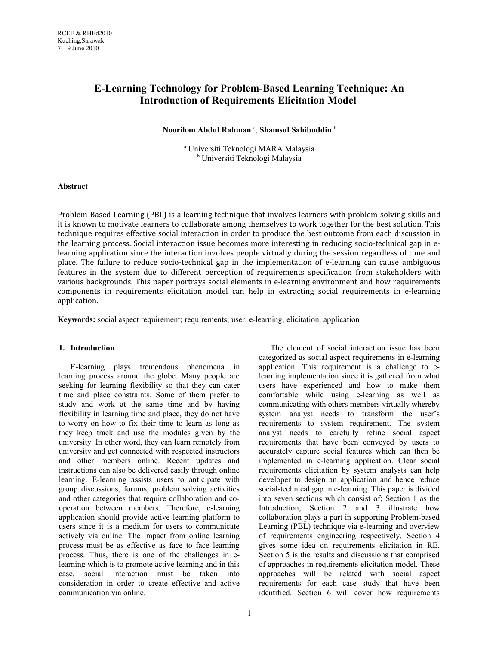# **E-Learning Technology for Problem-Based Learning Technique: An Introduction of Requirements Elicitation Model**

**Noorihan Abdul Rahman** <sup>a</sup> , **Shamsul Sahibuddin** <sup>b</sup>

a Universiti Teknologi MARA Malaysia b Universiti Teknologi Malaysia

#### **Abstract**

Problem-Based Learning (PBL) is a learning technique that involves learners with problem-solving skills and it is known to motivate learners to collaborate among themselves to work together for the best solution. This technique requires effective social interaction in order to produce the best outcome from each discussion in the learning process. Social interaction issue becomes more interesting in reducing socio-technical gap in elearning application since the interaction involves people virtually during the session regardless of time and place. The failure to reduce socio-technical gap in the implementation of e-learning can cause ambiguous features in the system due to different perception of requirements specification from stakeholders with various backgrounds. This paper portrays social elements in e-learning environment and how requirements components in requirements elicitation model can help in extracting social requirements in e-learning application.

**Keywords:** social aspect requirement; requirements; user; e-learning; elicitation; application

## **1. Introduction**

E-learning plays tremendous phenomena in learning process around the globe. Many people are seeking for learning flexibility so that they can cater time and place constraints. Some of them prefer to study and work at the same time and by having flexibility in learning time and place, they do not have to worry on how to fix their time to learn as long as they keep track and use the modules given by the university. In other word, they can learn remotely from university and get connected with respected instructors and other members online. Recent updates and instructions can also be delivered easily through online learning. E-learning assists users to anticipate with group discussions, forums, problem solving activities and other categories that require collaboration and cooperation between members. Therefore, e-learning application should provide active learning platform to users since it is a medium for users to communicate actively via online. The impact from online learning process must be as effective as face to face learning process. Thus, there is one of the challenges in elearning which is to promote active learning and in this case, social interaction must be taken into consideration in order to create effective and active communication via online.

The element of social interaction issue has been categorized as social aspect requirements in e-learning application. This requirement is a challenge to elearning implementation since it is gathered from what users have experienced and how to make them comfortable while using e-learning as well as communicating with others members virtually whereby system analyst needs to transform the user's requirements to system requirement. The system analyst needs to carefully refine social aspect requirements that have been conveyed by users to accurately capture social features which can then be implemented in e-learning application. Clear social requirements elicitation by system analysts can help developer to design an application and hence reduce social-technical gap in e-learning. This paper is divided into seven sections which consist of; Section 1 as the Introduction, Section 2 and 3 illustrate how collaboration plays a part in supporting Problem-based Learning (PBL) technique via e-learning and overview of requirements engineering respectively. Section 4 gives some idea on requirements elicitation in RE. Section 5 is the results and discussions that comprised of approaches in requirements elicitation model. These approaches will be related with social aspect requirements for each case study that have been identified. Section 6 will cover how requirements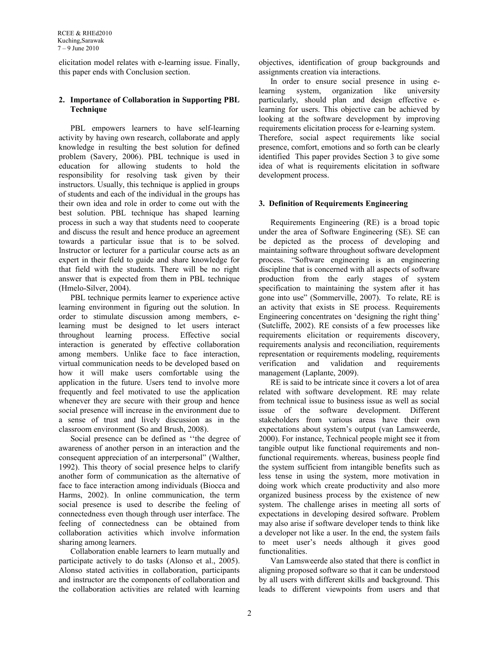elicitation model relates with e-learning issue. Finally, this paper ends with Conclusion section.

## **2. Importance of Collaboration in Supporting PBL Technique**

PBL empowers learners to have self-learning activity by having own research, collaborate and apply knowledge in resulting the best solution for defined problem (Savery, 2006). PBL technique is used in education for allowing students to hold the responsibility for resolving task given by their instructors. Usually, this technique is applied in groups of students and each of the individual in the groups has their own idea and role in order to come out with the best solution. PBL technique has shaped learning process in such a way that students need to cooperate and discuss the result and hence produce an agreement towards a particular issue that is to be solved. Instructor or lecturer for a particular course acts as an expert in their field to guide and share knowledge for that field with the students. There will be no right answer that is expected from them in PBL technique (Hmelo-Silver, 2004).

PBL technique permits learner to experience active learning environment in figuring out the solution. In order to stimulate discussion among members, elearning must be designed to let users interact throughout learning process. Effective social interaction is generated by effective collaboration among members. Unlike face to face interaction, virtual communication needs to be developed based on how it will make users comfortable using the application in the future. Users tend to involve more frequently and feel motivated to use the application whenever they are secure with their group and hence social presence will increase in the environment due to a sense of trust and lively discussion as in the classroom environment (So and Brush, 2008).

Social presence can be defined as ''the degree of awareness of another person in an interaction and the consequent appreciation of an interpersonal" (Walther, 1992). This theory of social presence helps to clarify another form of communication as the alternative of face to face interaction among individuals (Biocca and Harms, 2002). In online communication, the term social presence is used to describe the feeling of connectedness even though through user interface. The feeling of connectedness can be obtained from collaboration activities which involve information sharing among learners.

Collaboration enable learners to learn mutually and participate actively to do tasks (Alonso et al., 2005). Alonso stated activities in collaboration, participants and instructor are the components of collaboration and the collaboration activities are related with learning objectives, identification of group backgrounds and assignments creation via interactions.

In order to ensure social presence in using elearning system, organization like university particularly, should plan and design effective elearning for users. This objective can be achieved by looking at the software development by improving requirements elicitation process for e-learning system. Therefore, social aspect requirements like social presence, comfort, emotions and so forth can be clearly identified This paper provides Section 3 to give some idea of what is requirements elicitation in software development process.

## **3. Definition of Requirements Engineering**

Requirements Engineering (RE) is a broad topic under the area of Software Engineering (SE). SE can be depicted as the process of developing and maintaining software throughout software development process. "Software engineering is an engineering discipline that is concerned with all aspects of software production from the early stages of system specification to maintaining the system after it has gone into use" (Sommerville, 2007). To relate, RE is an activity that exists in SE process. Requirements Engineering concentrates on 'designing the right thing' (Sutcliffe, 2002). RE consists of a few processes like requirements elicitation or requirements discovery, requirements analysis and reconciliation, requirements representation or requirements modeling, requirements verification and validation and requirements management (Laplante, 2009).

RE is said to be intricate since it covers a lot of area related with software development. RE may relate from technical issue to business issue as well as social issue of the software development. Different stakeholders from various areas have their own expectations about system's output (van Lamsweerde, 2000). For instance, Technical people might see it from tangible output like functional requirements and nonfunctional requirements. whereas, business people find the system sufficient from intangible benefits such as less tense in using the system, more motivation in doing work which create productivity and also more organized business process by the existence of new system. The challenge arises in meeting all sorts of expectations in developing desired software. Problem may also arise if software developer tends to think like a developer not like a user. In the end, the system fails to meet user's needs although it gives good functionalities.

Van Lamsweerde also stated that there is conflict in aligning proposed software so that it can be understood by all users with different skills and background. This leads to different viewpoints from users and that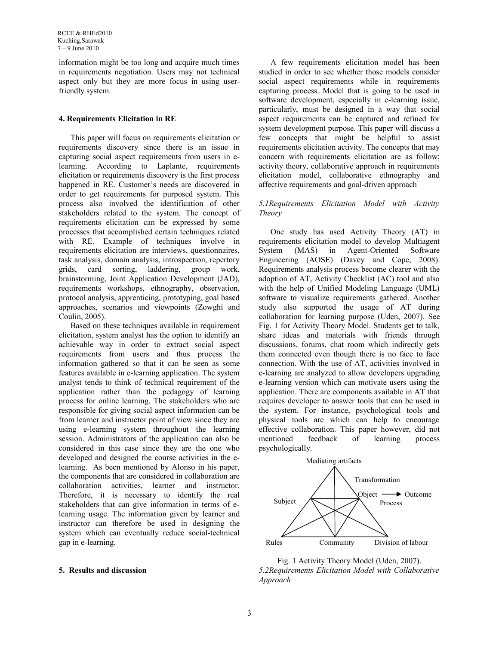information might be too long and acquire much times in requirements negotiation. Users may not technical aspect only but they are more focus in using userfriendly system.

#### **4. Requirements Elicitation in RE**

This paper will focus on requirements elicitation or requirements discovery since there is an issue in capturing social aspect requirements from users in elearning. According to Laplante, requirements elicitation or requirements discovery is the first process happened in RE. Customer's needs are discovered in order to get requirements for purposed system. This process also involved the identification of other stakeholders related to the system. The concept of requirements elicitation can be expressed by some processes that accomplished certain techniques related with RE. Example of techniques involve in requirements elicitation are interviews, questionnaires, task analysis, domain analysis, introspection, repertory grids, card sorting, laddering, group work, brainstorming, Joint Application Development (JAD), requirements workshops, ethnography, observation, protocol analysis, apprenticing, prototyping, goal based approaches, scenarios and viewpoints (Zowghi and Coulin, 2005).

Based on these techniques available in requirement elicitation, system analyst has the option to identify an achievable way in order to extract social aspect requirements from users and thus process the information gathered so that it can be seen as some features available in e-learning application. The system analyst tends to think of technical requirement of the application rather than the pedagogy of learning process for online learning. The stakeholders who are responsible for giving social aspect information can be from learner and instructor point of view since they are using e-learning system throughout the learning session. Administrators of the application can also be considered in this case since they are the one who developed and designed the course activities in the elearning. As been mentioned by Alonso in his paper, the components that are considered in collaboration are collaboration activities, learner and instructor. Therefore, it is necessary to identify the real stakeholders that can give information in terms of elearning usage. The information given by learner and instructor can therefore be used in designing the system which can eventually reduce social-technical gap in e-learning.

#### **5. Results and discussion**

A few requirements elicitation model has been studied in order to see whether those models consider social aspect requirements while in requirements capturing process. Model that is going to be used in software development, especially in e-learning issue, particularly, must be designed in a way that social aspect requirements can be captured and refined for system development purpose. This paper will discuss a few concepts that might be helpful to assist requirements elicitation activity. The concepts that may concern with requirements elicitation are as follow; activity theory, collaborative approach in requirements elicitation model, collaborative ethnography and affective requirements and goal-driven approach

#### *5.1Requirements Elicitation Model with Activity Theory*

One study has used Activity Theory (AT) in requirements elicitation model to develop Multiagent System (MAS) in Agent-Oriented Software Engineering (AOSE) (Davey and Cope, 2008). Requirements analysis process become clearer with the adoption of AT, Activity Checklist (AC) tool and also with the help of Unified Modeling Language (UML) software to visualize requirements gathered. Another study also supported the usage of AT during collaboration for learning purpose (Uden, 2007). See Fig. 1 for Activity Theory Model. Students get to talk, share ideas and materials with friends through discussions, forums, chat room which indirectly gets them connected even though there is no face to face connection. With the use of AT, activities involved in e-learning are analyzed to allow developers upgrading e-learning version which can motivate users using the application. There are components available in AT that requires developer to answer tools that can be used in the system. For instance, psychological tools and physical tools are which can help to encourage effective collaboration. This paper however, did not mentioned feedback of learning process psychologically.



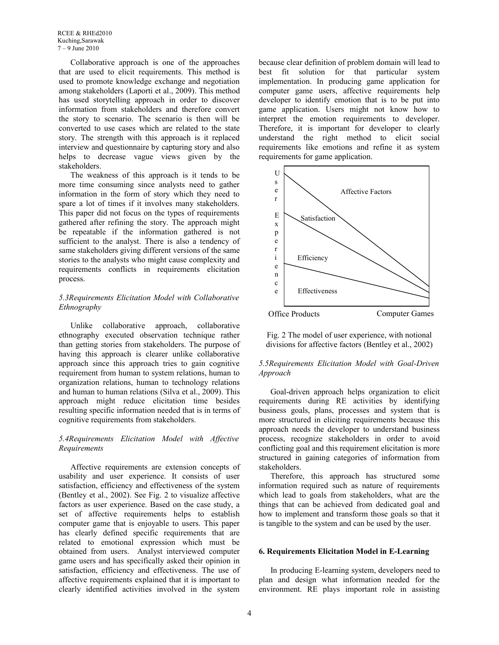Collaborative approach is one of the approaches that are used to elicit requirements. This method is used to promote knowledge exchange and negotiation among stakeholders (Laporti et al., 2009). This method has used storytelling approach in order to discover information from stakeholders and therefore convert the story to scenario. The scenario is then will be converted to use cases which are related to the state story. The strength with this approach is it replaced interview and questionnaire by capturing story and also helps to decrease vague views given by the stakeholders.

The weakness of this approach is it tends to be more time consuming since analysts need to gather information in the form of story which they need to spare a lot of times if it involves many stakeholders. This paper did not focus on the types of requirements gathered after refining the story. The approach might be repeatable if the information gathered is not sufficient to the analyst. There is also a tendency of same stakeholders giving different versions of the same stories to the analysts who might cause complexity and requirements conflicts in requirements elicitation process.

#### *5.3Requirements Elicitation Model with Collaborative Ethnography*

Unlike collaborative approach, collaborative ethnography executed observation technique rather than getting stories from stakeholders. The purpose of having this approach is clearer unlike collaborative approach since this approach tries to gain cognitive requirement from human to system relations, human to organization relations, human to technology relations and human to human relations (Silva et al., 2009). This approach might reduce elicitation time besides resulting specific information needed that is in terms of cognitive requirements from stakeholders.

#### *5.4Requirements Elicitation Model with Affective Requirements*

Affective requirements are extension concepts of usability and user experience. It consists of user satisfaction, efficiency and effectiveness of the system (Bentley et al., 2002). See Fig. 2 to visualize affective factors as user experience. Based on the case study, a set of affective requirements helps to establish computer game that is enjoyable to users. This paper has clearly defined specific requirements that are related to emotional expression which must be obtained from users. Analyst interviewed computer game users and has specifically asked their opinion in satisfaction, efficiency and effectiveness. The use of affective requirements explained that it is important to clearly identified activities involved in the system

because clear definition of problem domain will lead to best fit solution for that particular system implementation. In producing game application for computer game users, affective requirements help developer to identify emotion that is to be put into game application. Users might not know how to interpret the emotion requirements to developer. Therefore, it is important for developer to clearly understand the right method to elicit social requirements like emotions and refine it as system requirements for game application.



Fig. 2 The model of user experience, with notional divisions for affective factors (Bentley et al., 2002)

## *5.5Requirements Elicitation Model with Goal-Driven Approach*

Goal-driven approach helps organization to elicit requirements during RE activities by identifying business goals, plans, processes and system that is more structured in eliciting requirements because this approach needs the developer to understand business process, recognize stakeholders in order to avoid conflicting goal and this requirement elicitation is more structured in gaining categories of information from stakeholders.

Therefore, this approach has structured some information required such as nature of requirements which lead to goals from stakeholders, what are the things that can be achieved from dedicated goal and how to implement and transform those goals so that it is tangible to the system and can be used by the user.

#### **6. Requirements Elicitation Model in E-Learning**

In producing E-learning system, developers need to plan and design what information needed for the environment. RE plays important role in assisting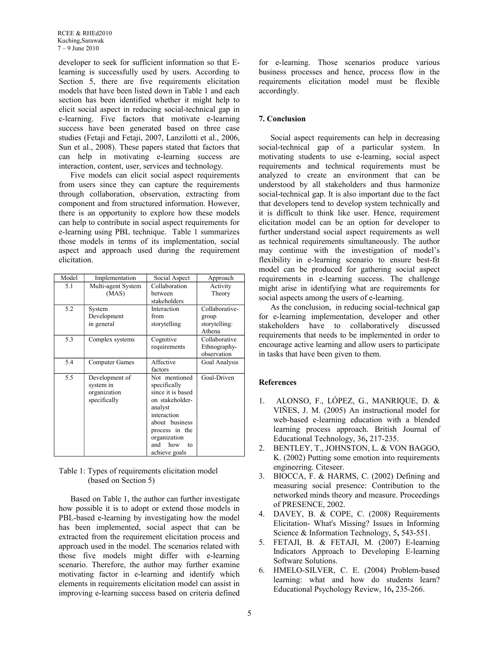developer to seek for sufficient information so that Elearning is successfully used by users. According to Section 5, there are five requirements elicitation models that have been listed down in Table 1 and each section has been identified whether it might help to elicit social aspect in reducing social-technical gap in e-learning. Five factors that motivate e-learning success have been generated based on three case studies (Fetaji and Fetaji, 2007, Lanzilotti et al., 2006, Sun et al., 2008). These papers stated that factors that can help in motivating e-learning success are interaction, content, user, services and technology.

Five models can elicit social aspect requirements from users since they can capture the requirements through collaboration, observation, extracting from component and from structured information. However, there is an opportunity to explore how these models can help to contribute in social aspect requirements for e-learning using PBL technique. Table 1 summarizes those models in terms of its implementation, social aspect and approach used during the requirement elicitation.

| Model | Implementation     | Social Aspect     | Approach       |
|-------|--------------------|-------------------|----------------|
| 5.1   | Multi-agent System | Collaboration     | Activity       |
|       | (MAS)              | between           | Theory         |
|       |                    | stakeholders      |                |
| 5.2   | System             | Interaction       | Collaborative- |
|       | Development        | from              | group          |
|       | in general         | storytelling      | storytelling:  |
|       |                    |                   | Athena         |
| 5.3   | Complex systems    | Cognitive         | Collaborative  |
|       |                    | requirements      | Ethnography-   |
|       |                    |                   | observation    |
| 5.4   | Computer Games     | Affective         | Goal Analysis  |
|       |                    | factors           |                |
| 5.5   | Development of     | Not mentioned     | Goal-Driven    |
|       | system in          | specifically      |                |
|       | organization       | since it is based |                |
|       | specifically       | on stakeholder-   |                |
|       |                    | analyst           |                |
|       |                    | interaction       |                |
|       |                    | about business    |                |
|       |                    | process in the    |                |
|       |                    | organization      |                |
|       |                    | how<br>and<br>to  |                |
|       |                    | achieve goals     |                |

# Table 1: Types of requirements elicitation model (based on Section 5)

Based on Table 1, the author can further investigate how possible it is to adopt or extend those models in PBL-based e-learning by investigating how the model has been implemented, social aspect that can be extracted from the requirement elicitation process and approach used in the model. The scenarios related with those five models might differ with e-learning scenario. Therefore, the author may further examine motivating factor in e-learning and identify which elements in requirements elicitation model can assist in improving e-learning success based on criteria defined

for e-learning. Those scenarios produce various business processes and hence, process flow in the requirements elicitation model must be flexible accordingly.

# **7. Conclusion**

Social aspect requirements can help in decreasing social-technical gap of a particular system. In motivating students to use e-learning, social aspect requirements and technical requirements must be analyzed to create an environment that can be understood by all stakeholders and thus harmonize social-technical gap. It is also important due to the fact that developers tend to develop system technically and it is difficult to think like user. Hence, requirement elicitation model can be an option for developer to further understand social aspect requirements as well as technical requirements simultaneously. The author may continue with the investigation of model's flexibility in e-learning scenario to ensure best-fit model can be produced for gathering social aspect requirements in e-learning success. The challenge might arise in identifying what are requirements for social aspects among the users of e-learning.

As the conclusion, in reducing social-technical gap for e-learning implementation, developer and other stakeholders have to collaboratively discussed requirements that needs to be implemented in order to encourage active learning and allow users to participate in tasks that have been given to them.

## **References**

- 1. ALONSO, F., LÓPEZ, G., MANRIQUE, D. & VIÑES, J. M. (2005) An instructional model for web-based e-learning education with a blended learning process approach. British Journal of Educational Technology, 36**,** 217-235.
- 2. BENTLEY, T., JOHNSTON, L. & VON BAGGO, K. (2002) Putting some emotion into requirements engineering. Citeseer.
- 3. BIOCCA, F. & HARMS, C. (2002) Defining and measuring social presence: Contribution to the networked minds theory and measure. Proceedings of PRESENCE, 2002.
- 4. DAVEY, B. & COPE, C. (2008) Requirements Elicitation- What's Missing? Issues in Informing Science & Information Technology, 5**,** 543-551.
- 5. FETAJI, B. & FETAJI, M. (2007) E-learning Indicators Approach to Developing E-learning Software Solutions.
- 6. HMELO-SILVER, C. E. (2004) Problem-based learning: what and how do students learn? Educational Psychology Review, 16**,** 235-266.